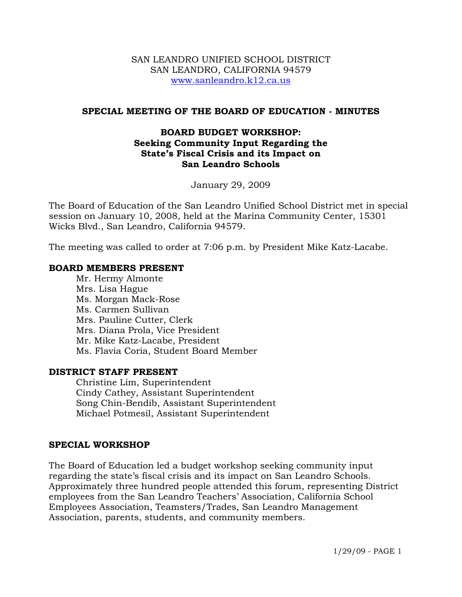#### SAN LEANDRO UNIFIED SCHOOL DISTRICT SAN LEANDRO, CALIFORNIA 94579 www.sanleandro.k12.ca.us

### **SPECIAL MEETING OF THE BOARD OF EDUCATION - MINUTES**

### **BOARD BUDGET WORKSHOP: Seeking Community Input Regarding the State's Fiscal Crisis and its Impact on San Leandro Schools**

January 29, 2009

The Board of Education of the San Leandro Unified School District met in special session on January 10, 2008, held at the Marina Community Center, 15301 Wicks Blvd., San Leandro, California 94579.

The meeting was called to order at 7:06 p.m. by President Mike Katz-Lacabe.

#### **BOARD MEMBERS PRESENT**

Mr. Hermy Almonte Mrs. Lisa Hague Ms. Morgan Mack-Rose Ms. Carmen Sullivan Mrs. Pauline Cutter, Clerk Mrs. Diana Prola, Vice President Mr. Mike Katz-Lacabe, President Ms. Flavia Coria, Student Board Member

#### **DISTRICT STAFF PRESENT**

Christine Lim, Superintendent Cindy Cathey, Assistant Superintendent Song Chin-Bendib, Assistant Superintendent Michael Potmesil, Assistant Superintendent

### **SPECIAL WORKSHOP**

The Board of Education led a budget workshop seeking community input regarding the state's fiscal crisis and its impact on San Leandro Schools. Approximately three hundred people attended this forum, representing District employees from the San Leandro Teachers' Association, California School Employees Association, Teamsters/Trades, San Leandro Management Association, parents, students, and community members.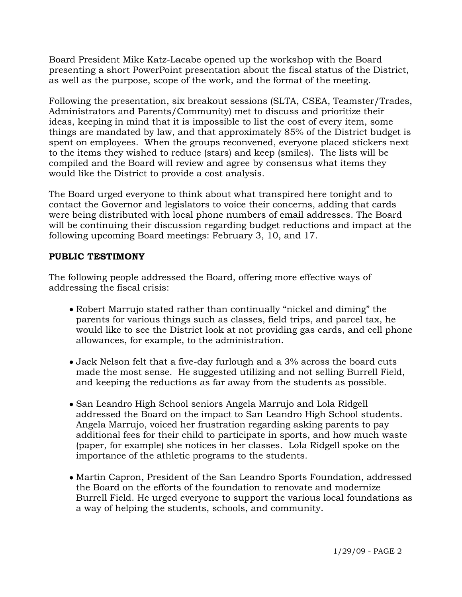Board President Mike Katz-Lacabe opened up the workshop with the Board presenting a short PowerPoint presentation about the fiscal status of the District, as well as the purpose, scope of the work, and the format of the meeting.

Following the presentation, six breakout sessions (SLTA, CSEA, Teamster/Trades, Administrators and Parents/Community) met to discuss and prioritize their ideas, keeping in mind that it is impossible to list the cost of every item, some things are mandated by law, and that approximately 85% of the District budget is spent on employees. When the groups reconvened, everyone placed stickers next to the items they wished to reduce (stars) and keep (smiles). The lists will be compiled and the Board will review and agree by consensus what items they would like the District to provide a cost analysis.

The Board urged everyone to think about what transpired here tonight and to contact the Governor and legislators to voice their concerns, adding that cards were being distributed with local phone numbers of email addresses. The Board will be continuing their discussion regarding budget reductions and impact at the following upcoming Board meetings: February 3, 10, and 17.

# **PUBLIC TESTIMONY**

The following people addressed the Board, offering more effective ways of addressing the fiscal crisis:

- Robert Marrujo stated rather than continually "nickel and diming" the parents for various things such as classes, field trips, and parcel tax, he would like to see the District look at not providing gas cards, and cell phone allowances, for example, to the administration.
- Jack Nelson felt that a five-day furlough and a 3% across the board cuts made the most sense. He suggested utilizing and not selling Burrell Field, and keeping the reductions as far away from the students as possible.
- San Leandro High School seniors Angela Marrujo and Lola Ridgell addressed the Board on the impact to San Leandro High School students. Angela Marrujo, voiced her frustration regarding asking parents to pay additional fees for their child to participate in sports, and how much waste (paper, for example) she notices in her classes. Lola Ridgell spoke on the importance of the athletic programs to the students.
- Martin Capron, President of the San Leandro Sports Foundation, addressed the Board on the efforts of the foundation to renovate and modernize Burrell Field. He urged everyone to support the various local foundations as a way of helping the students, schools, and community.